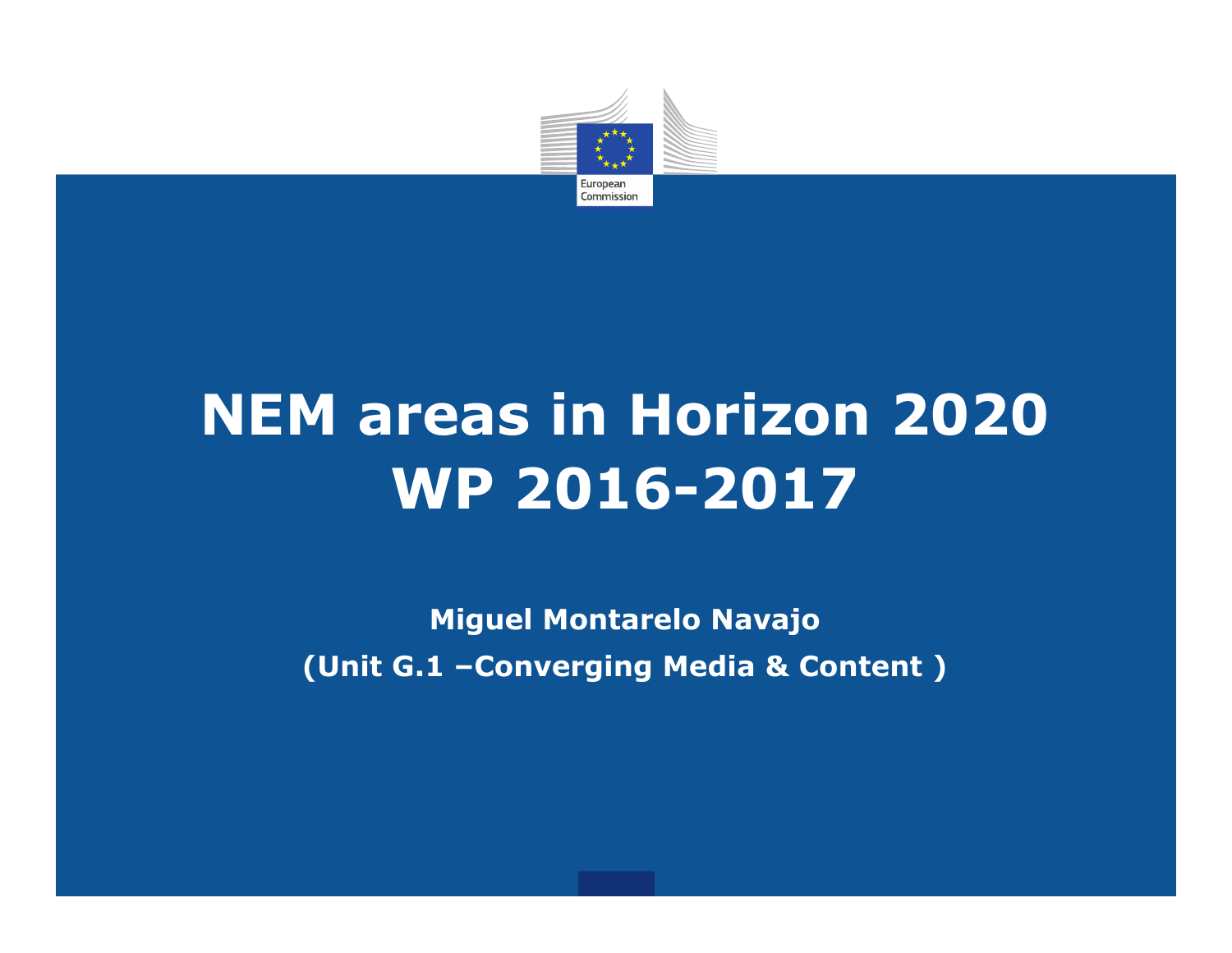

# **NEM areas in Horizon 2020 WP 2016-2017**

**Miguel Montarelo Navajo (Unit G.1 –Converging Media & Content )**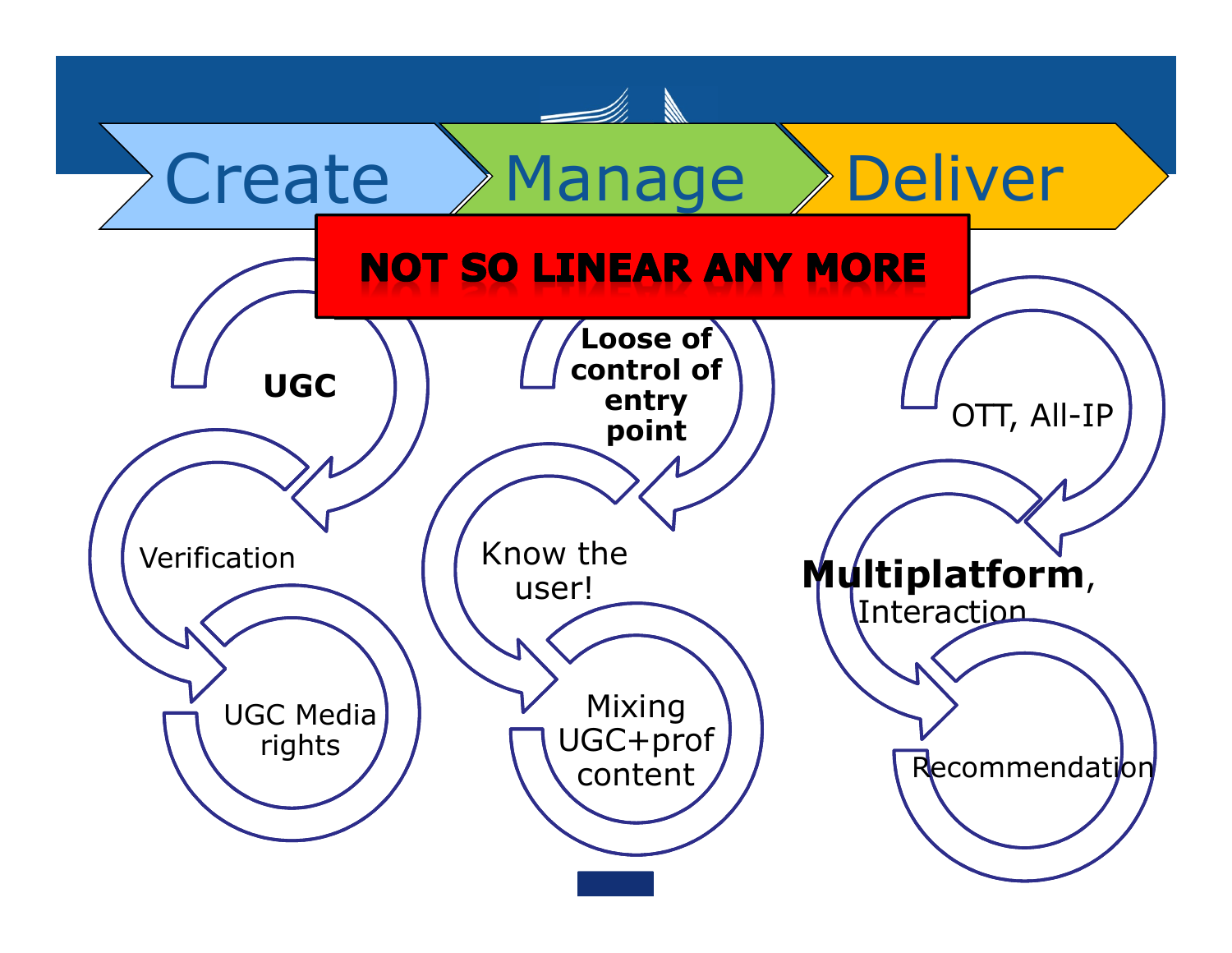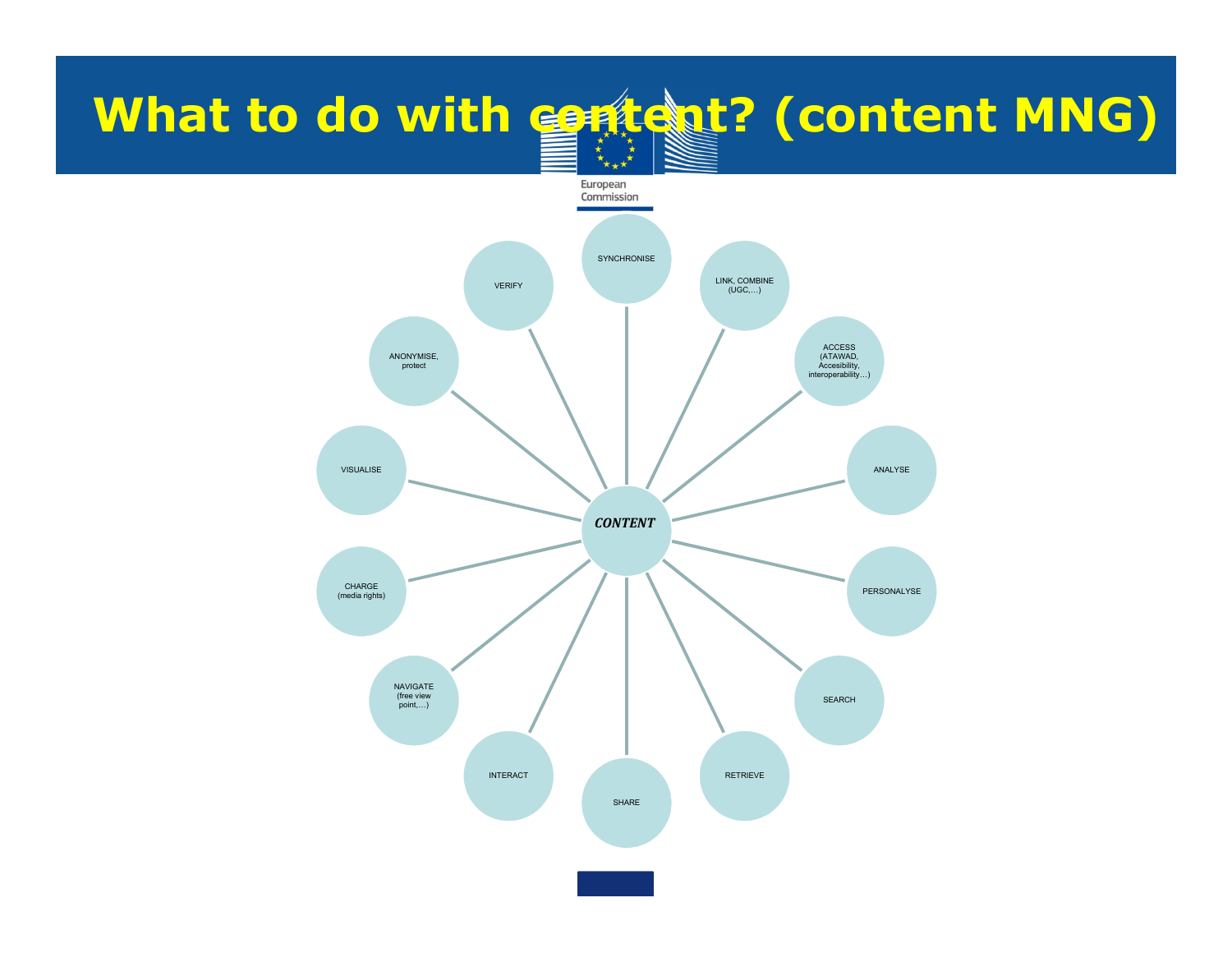# **What to do with content? (content MNG)**

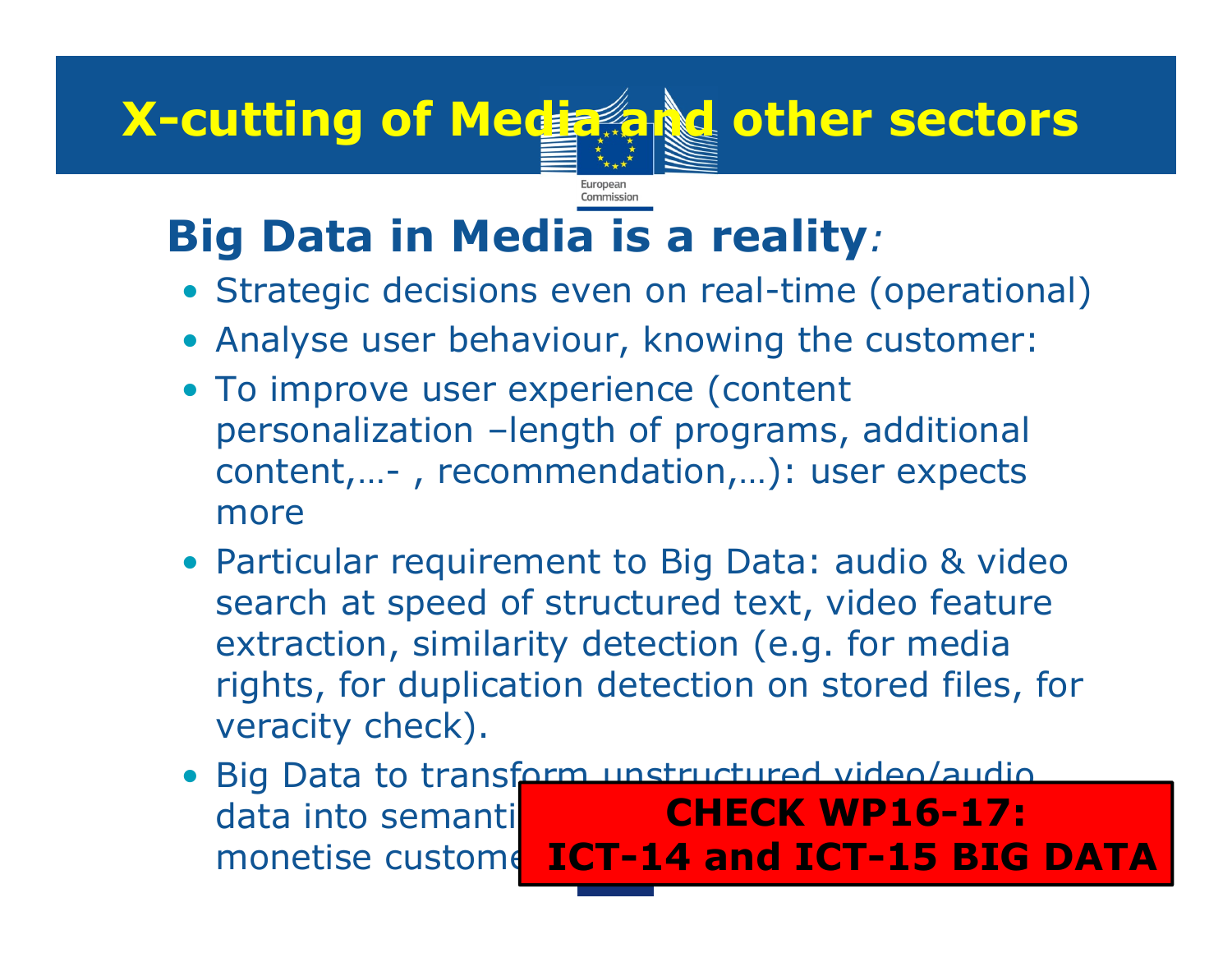# **X-cutting of Media and other sectors**

Commission

## • **Big Data in Media is a reality***:*

- Strategic decisions even on real-time (operational)
- Analyse user behaviour, knowing the customer:
- To improve user experience (content personalization –length of programs, additional content,…- , recommendation,…): user expects more
- Particular requirement to Big Data: audio & video search at speed of structured text, video feature extraction, similarity detection (e.g. for media rights, for duplication detection on stored files, for veracity check).
- Big Data to transform unstructured video/audio data into semantic segments, action monetise custome ICT-14 and ICT-15 BIG DATA **CHECK WP16-17:**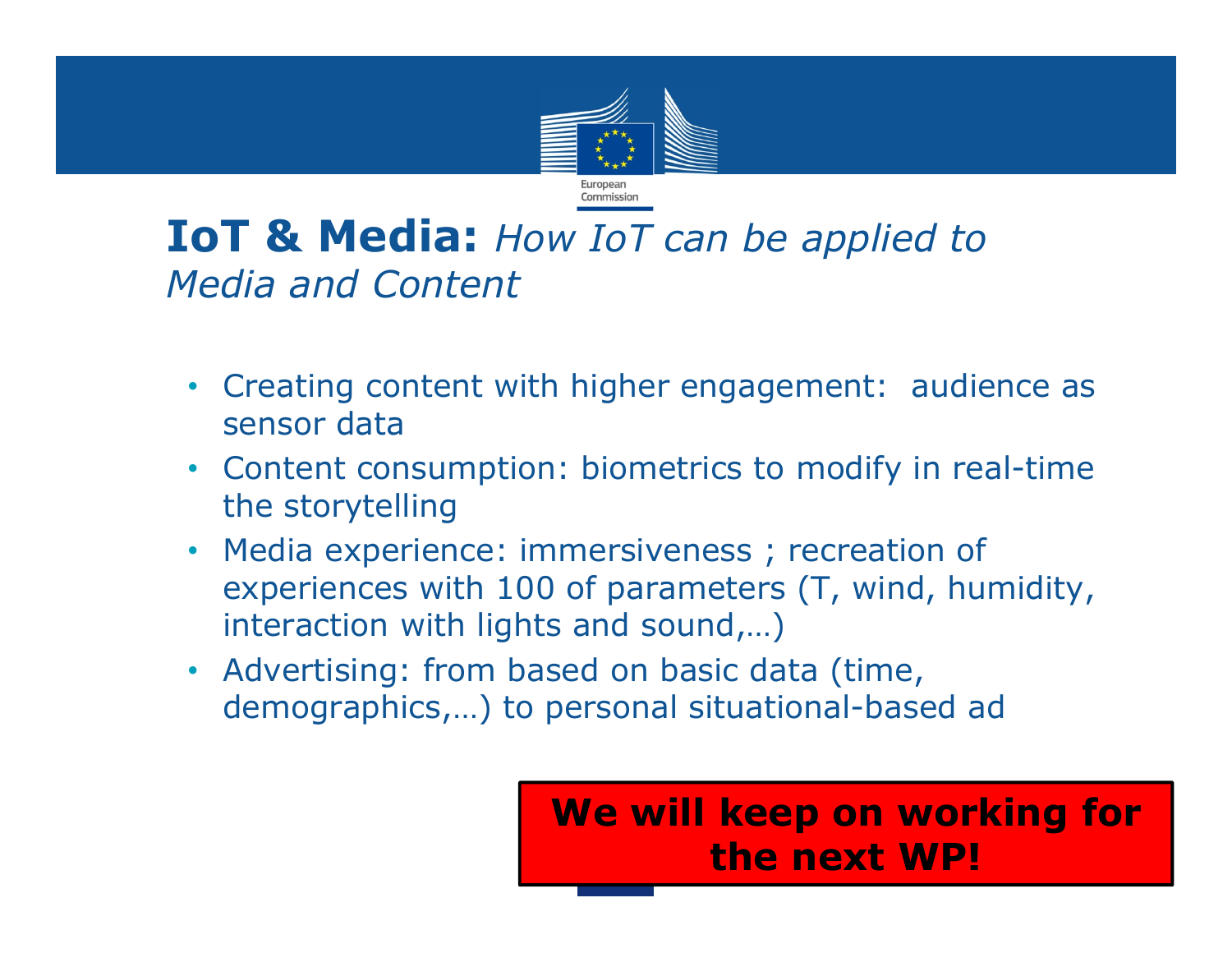

### • **IoT & Media:** *How IoT can be applied to Media and Content*

- Creating content with higher engagement: audience as sensor data
- Content consumption: biometrics to modify in real-time the storytelling
- Media experience: immersiveness ; recreation of experiences with 100 of parameters (T, wind, humidity, interaction with lights and sound,…)
- Advertising: from based on basic data (time, demographics,…) to personal situational-based ad

**We will keep on working for the next WP!**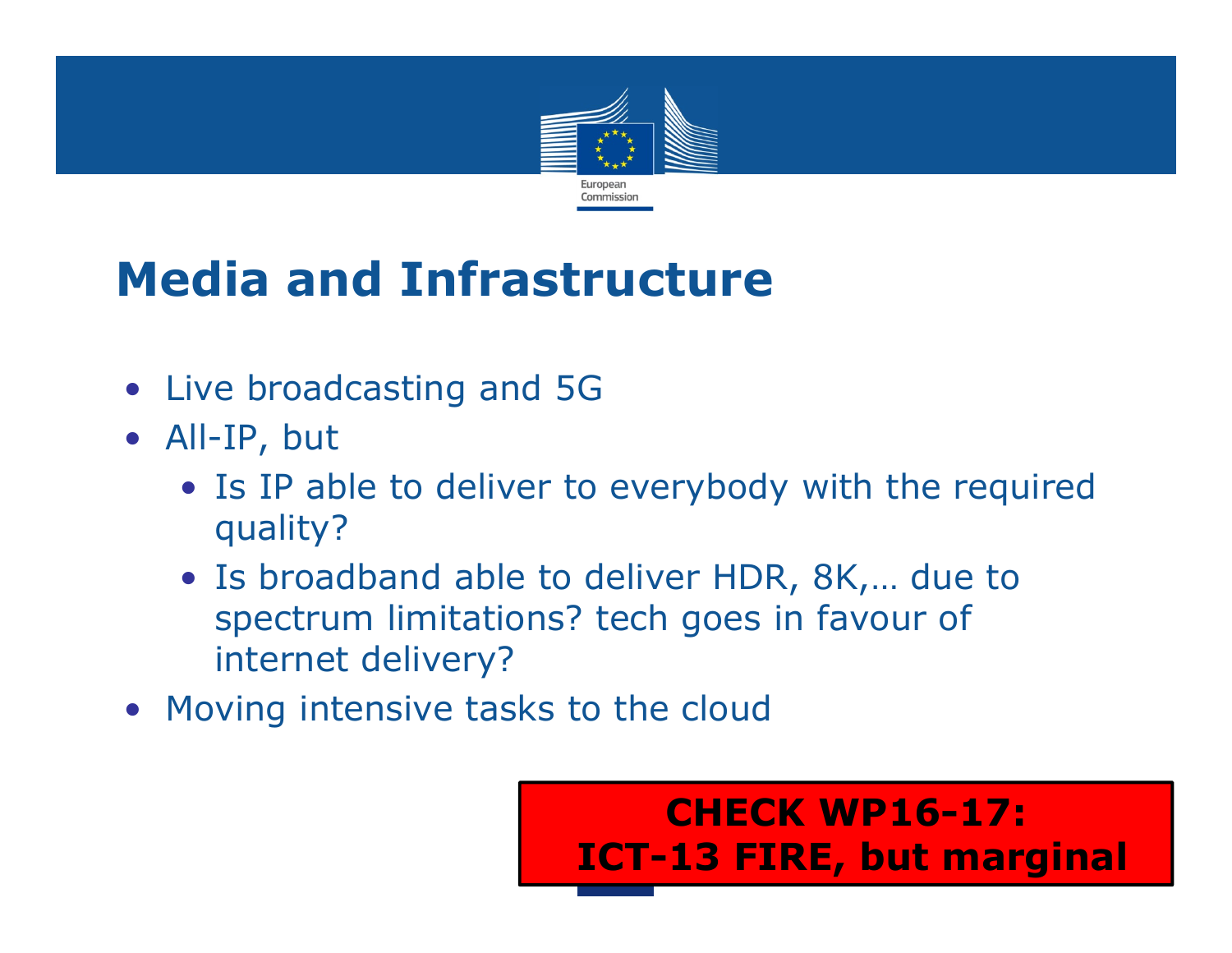

## **Media and Infrastructure**

- Live broadcasting and 5G
- All-IP, but
	- Is IP able to deliver to everybody with the required quality?
	- Is broadband able to deliver HDR, 8K,… due to spectrum limitations? tech goes in favour of internet delivery?
- Moving intensive tasks to the cloud

**CHECK WP16-17: ICT-13 FIRE, but marginal**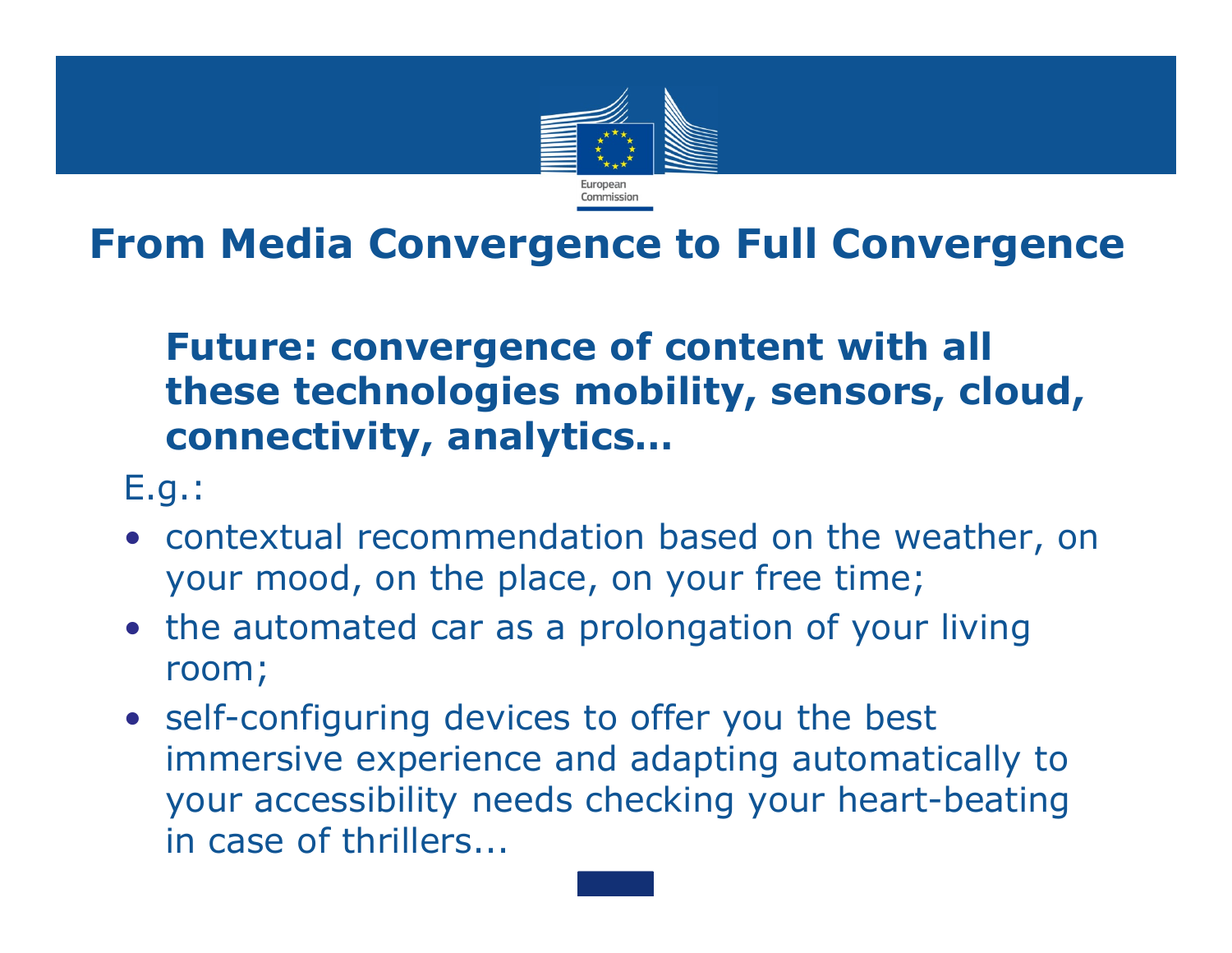

### **From Media Convergence to Full Convergence**

### **Future: convergence of content with all these technologies mobility, sensors, cloud, connectivity, analytics…**

- E.g.:
- contextual recommendation based on the weather, on your mood, on the place, on your free time;
- the automated car as a prolongation of your living room;
- self-configuring devices to offer you the best immersive experience and adapting automatically to your accessibility needs checking your heart-beating in case of thrillers...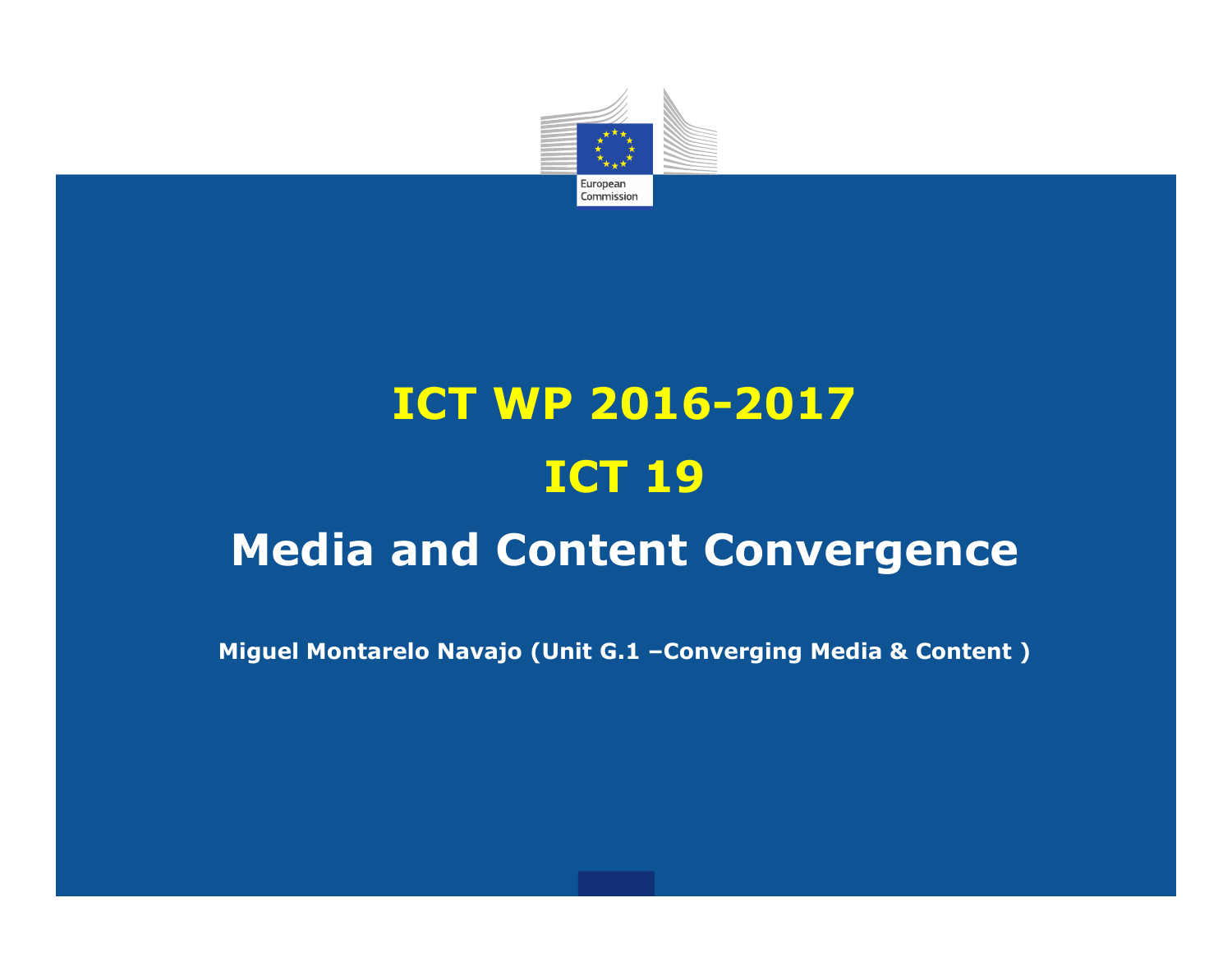

# **ICT WP 2016-2017 ICT 19**

### **Media and Content Convergence**

**Miguel Montarelo Navajo (Unit G.1 –Converging Media & Content )**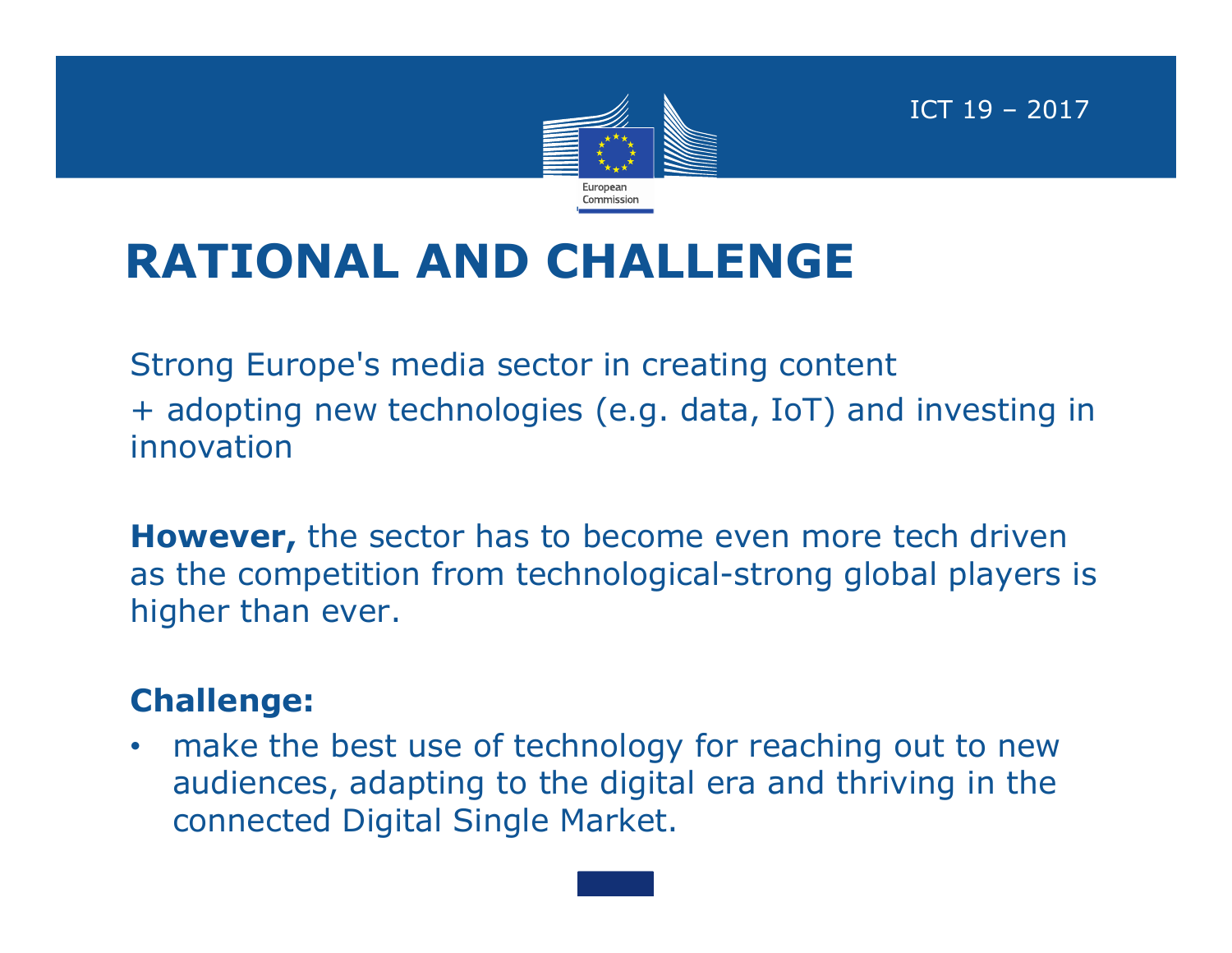

ICT 19 – 2017

## **RATIONAL AND CHALLENGE**

Strong Europe's media sector in creating content + adopting new technologies (e.g. data, IoT) and investing in innovation

**However,** the sector has to become even more tech driven as the competition from technological-strong global players is higher than ever.

#### **Challenge:**

• make the best use of technology for reaching out to new audiences, adapting to the digital era and thriving in the connected Digital Single Market.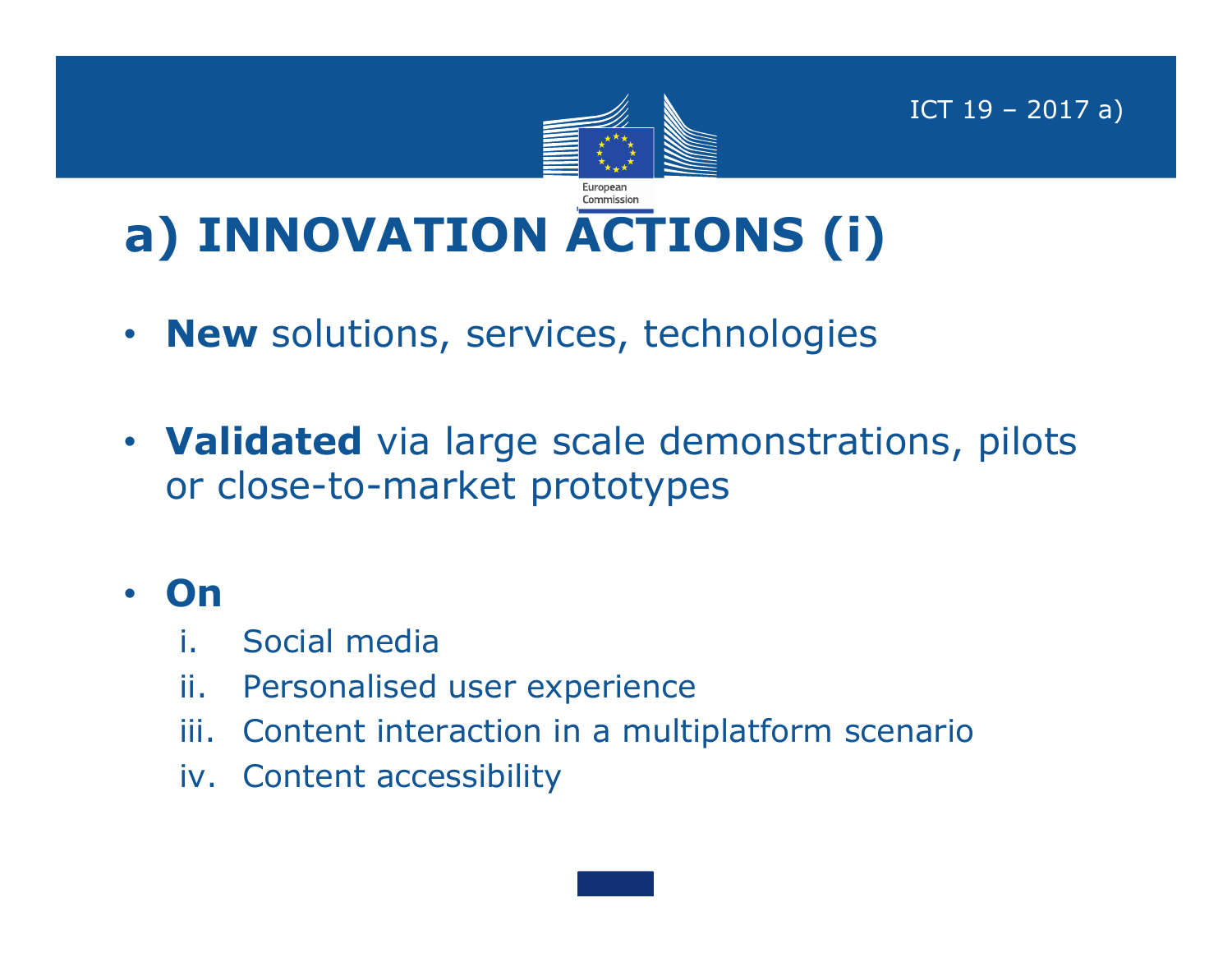

ICT 19 – 2017 a)

# **a) INNOVATION ACTIONS (i)**

- **New** solutions, services, technologies
- **Validated** via large scale demonstrations, pilots or close-to-market prototypes

### • **On**

- i. Social media
- ii. Personalised user experience
- iii. Content interaction in a multiplatform scenario
- iv. Content accessibility

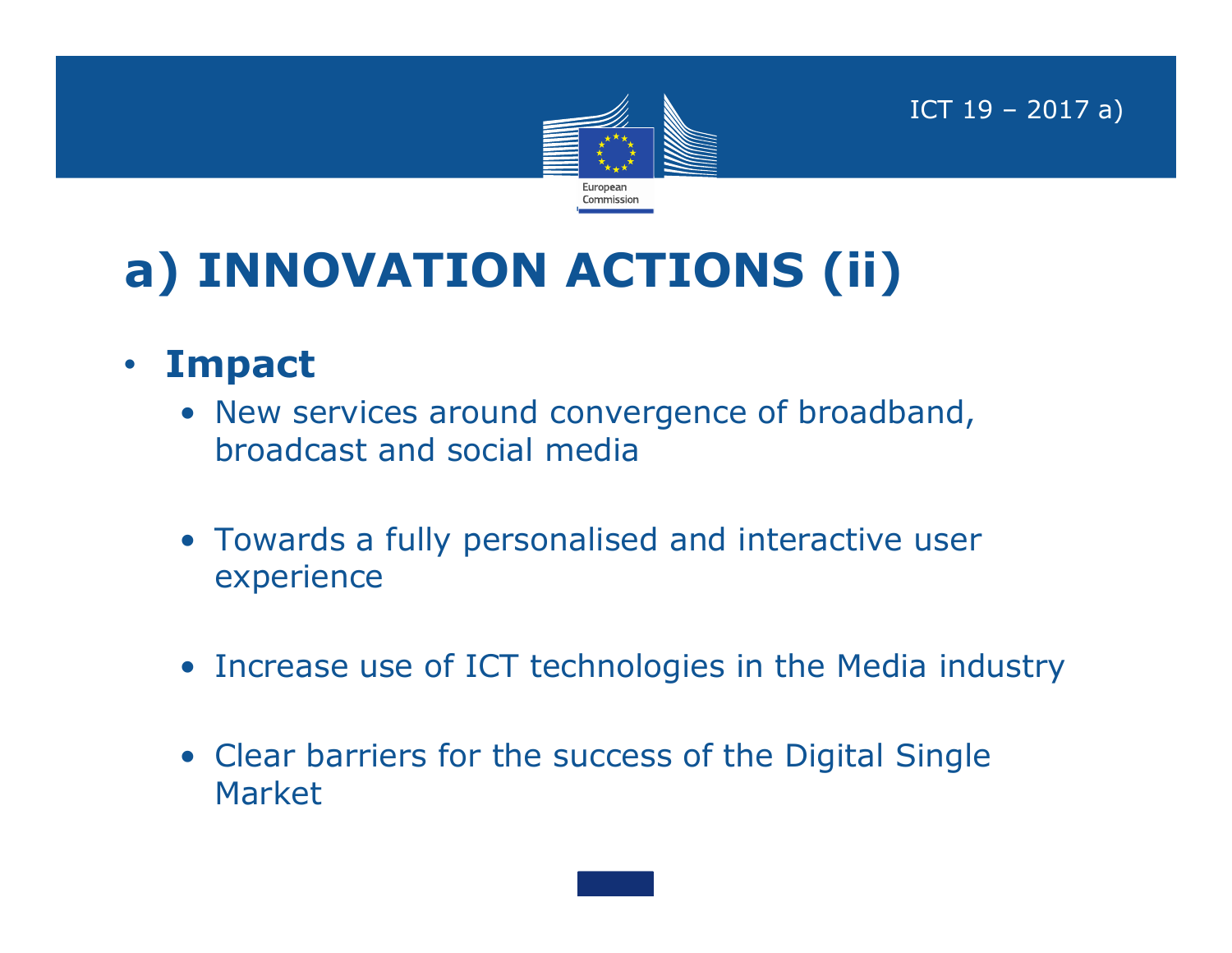

ICT 19 – 2017 a)

## **a) INNOVATION ACTIONS (ii)**

- **Impact**
	- New services around convergence of broadband, broadcast and social media
	- Towards a fully personalised and interactive user experience
	- Increase use of ICT technologies in the Media industry
	- Clear barriers for the success of the Digital Single Market

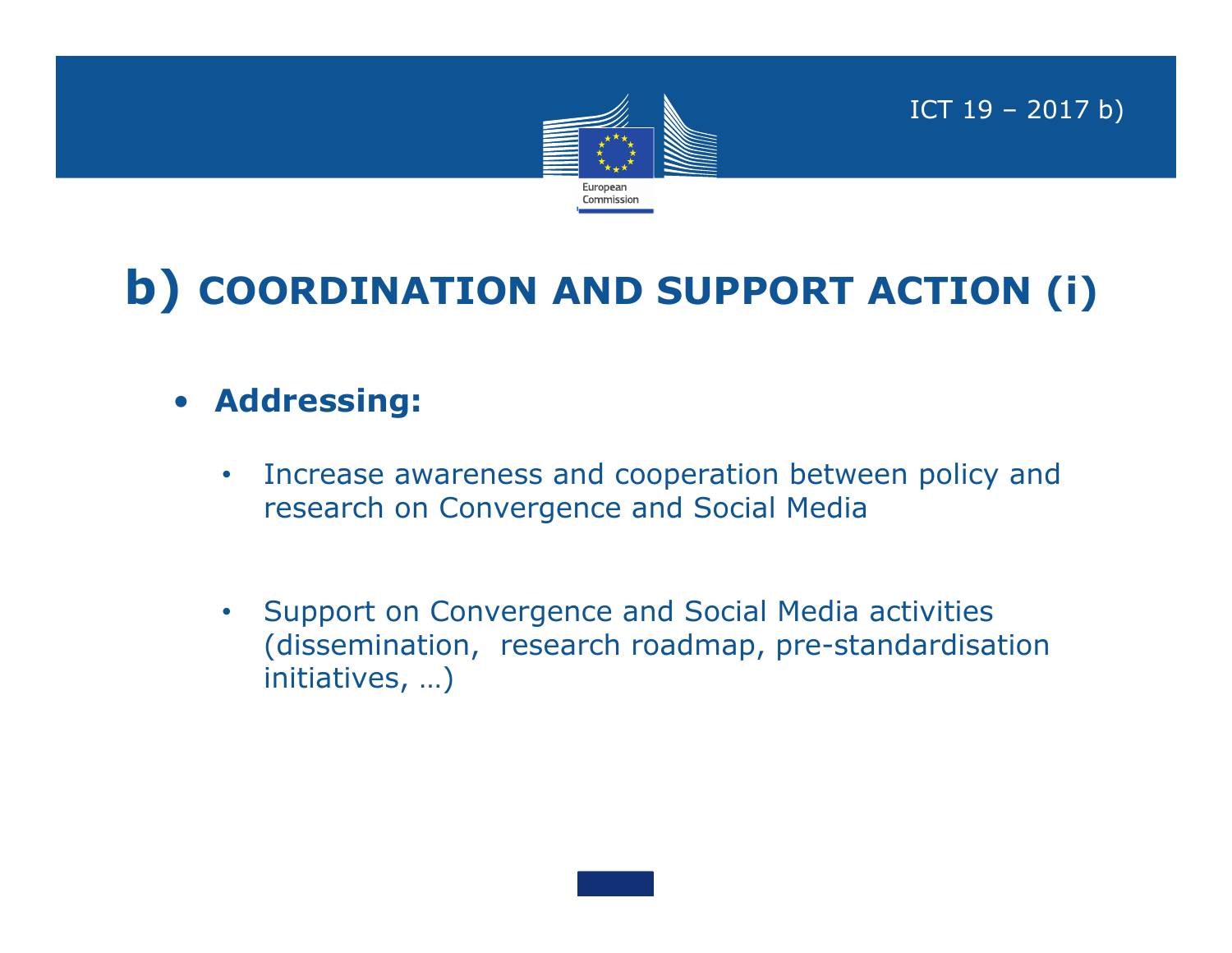

ICT 19 – 2017 b)

## **b) COORDINATION AND SUPPORT ACTION (i)**

- **Addressing:**
	- Increase awareness and cooperation between policy and research on Convergence and Social Media
	- Support on Convergence and Social Media activities (dissemination, research roadmap, pre-standardisation initiatives, …)

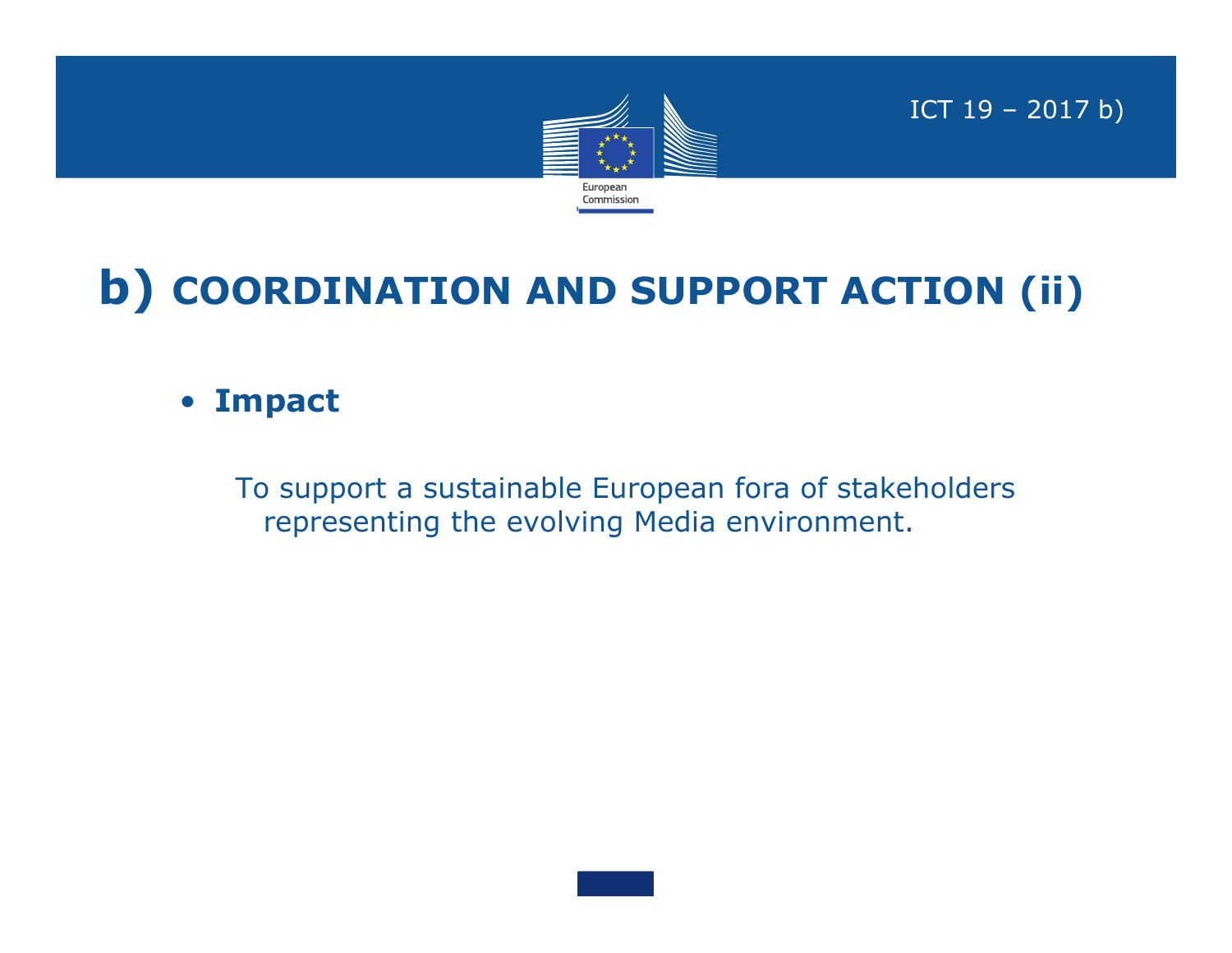

ICT 19 – 2017 b)

## **b) COORDINATION AND SUPPORT ACTION (ii)**

#### • **Impact**

To support a sustainable European fora of stakeholders representing the evolving Media environment.

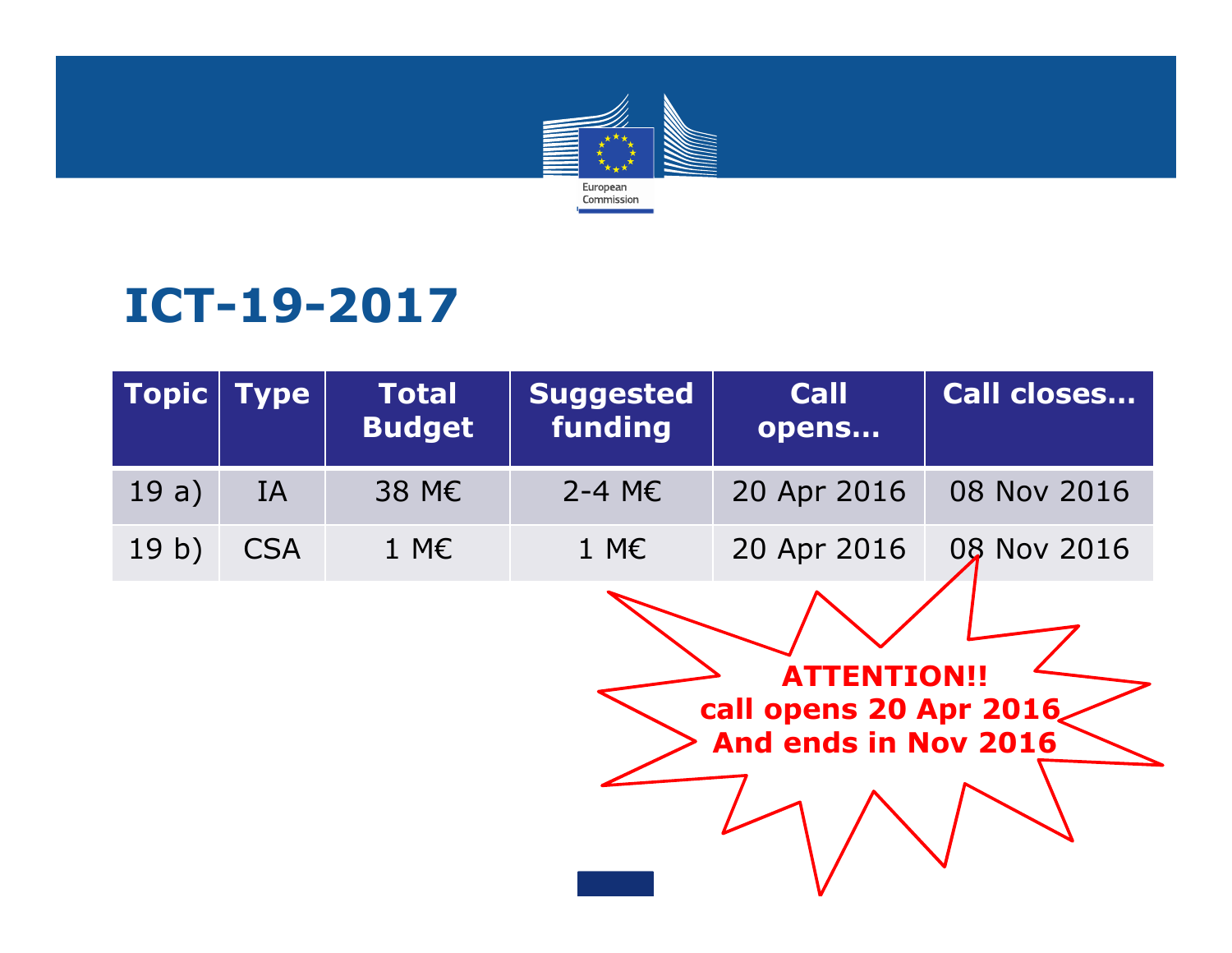

## **ICT-19-2017**

| $\textsf{Topic}$ | <b>Type</b> | <b>Total</b><br><b>Budget</b> | <b>Suggested</b><br>funding | <b>Call</b><br>opens | <b>Call closes</b> |
|------------------|-------------|-------------------------------|-----------------------------|----------------------|--------------------|
| 19a)             | <b>IA</b>   | 38 M€                         | 2-4 ME                      | 20 Apr 2016          | 08 Nov 2016        |
| 19 <sub>b</sub>  | <b>CSA</b>  | $1 M\epsilon$                 | $1 M\epsilon$               | 20 Apr 2016          | 08 Nov 2016        |
|                  |             |                               |                             |                      |                    |

**ATTENTION!! call opens 20 Apr 2016 And ends in Nov 2016**